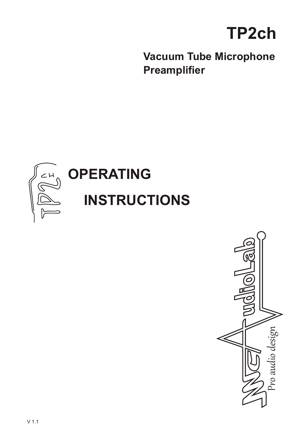

**Vacuum Tube Microphone Preamplifier**



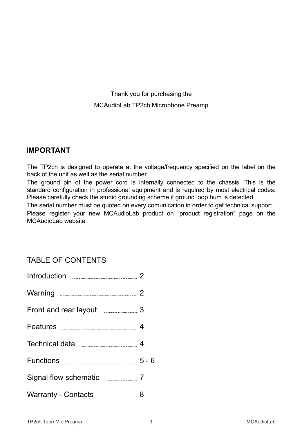Thank you for purchasing the MCAudioLab TP2ch Microphone Preamp

## **IMPORTANT**

The TP2ch is designed to operate at the voltage/frequency specified on the label on the back of the unit as well as the serial number.

The ground pin of the power cord is internally connected to the chassis. This is the standard configuration in professional equipment and is required by most electrical codes. Please carefully check the studio grounding scheme if ground loop hum is detected.

The serial number must be quoted on every comunication in order to get technical support. Please register your new MCAudioLab product on "product registration" page on the MCAudioLab website.

# TABLE OF CONTENTS

| Front and rear layout 3               |         |
|---------------------------------------|---------|
|                                       |         |
|                                       |         |
| Functions <b>Example 20</b> Functions | $5 - 6$ |
| Signal flow schematic ____________ 7  |         |
| Warranty - Contacts <b>Engineer</b> 8 |         |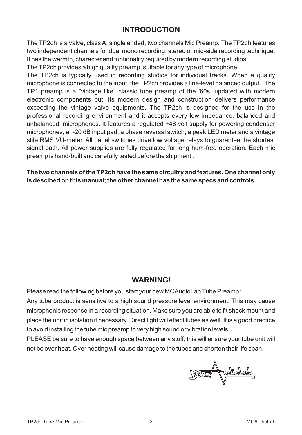# **INTRODUCTION**

The TP2ch is a valve, class A, single ended, two channels Mic Preamp. The TP2ch features two independent channels for dual mono recording, stereo or mid-side recording technique. It has the warmth, character and funtionality required by modern recording studios.

The TP2ch provides a high quality preamp, suitable for any type of microphone.

The TP2ch is typically used in recording studios for individual tracks. When a quality microphone is connected to the input, the TP2ch provides a line-level balanced output. The TP1 preamp is a "vintage like" classic tube preamp of the '60s, updated with modern electronic components but, its modern design and construction delivers performance exceeding the vintage valve equipments. The TP2ch is designed for the use in the professional recording environment and it accepts every low impedance, balanced and unbalanced, microphones. It features a regulated +48 volt supply for powering condenser microphones, a -20 dB input pad, a phase reversal switch, a peak LED meter and a vintage stile RMS VU-meter. All panel switches drive low voltage relays to guarantee the shortest signal path. All power supplies are fully regulated for long hum-free operation. Each mic preamp is hand-built and carefully tested before the shipment .

**The two channels of the TP2ch have the same circuitry and features. One channel only is descibed on this manual; the other channel has the same specs and controls.**

## **WARNING!**

Please read the following before you start your new MCAudioLab Tube Preamp:

Any tube product is sensitive to a high sound pressure level environment. This may cause microphonic response in a recording situation. Make sure you are able to fit shock mount and place the unit in isolation if necessary. Direct light will effect tubes as well. It is a good practice to avoid installing the tube mic preamp to very high sound or vibration levels.

PLEASE be sure to have enough space between any stuff; this will ensure your tube unit will not be over heat. Over heating will cause damage to the tubes and shorten their life span.

,aaggo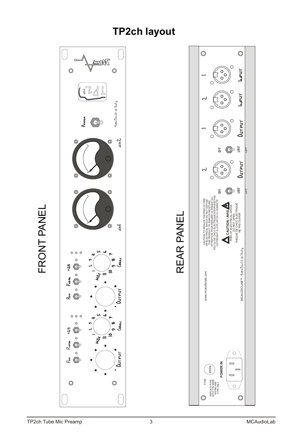# **TP2ch layout**



LL.  $\bf \alpha$ OZ  $\vdash$  $\mathfrak{F}^-$ Z

 $\sqcup$  $\overline{\phantom{a}}$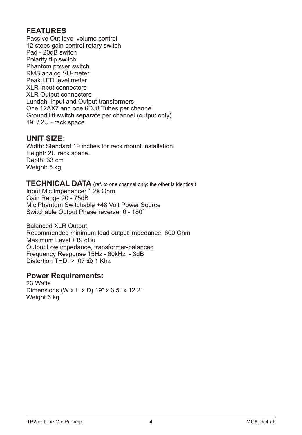# **FEATURES**

Passive Out level volume control 12 steps gain control rotary switch Pad - 20dB switch Polarity flip switch Phantom power switch RMS analog VU-meter Peak LED level meter XLR Input connectors XLR Output connectors Lundahl Input and Output transformers One 12AX7 and one 6DJ8 Tubes per channel Ground lift switch separate per channel (output only) 19" / 2U - rack space

## **UNIT SIZE:**

Width: Standard 19 inches for rack mount installation. Height: 2U rack space. Depth: 33 cm Weight: 5 kg

# **TECHNICAL DATA** (ref. to one channel only; the other is identical)

Input Mic Impedance: 1.2k Ohm Gain Range 20 - 75dB Mic Phantom Switchable +48 Volt Power Source Switchable Output Phase reverse 0 - 180°

Balanced XLR Output Recommended minimum load output impedance: 600 Ohm Maximum Level +19 dBu Output Low impedance, transformer-balanced Frequency Response 15Hz - 60kHz - 3dB Distortion THD:  $> .07$  @ 1 Khz

### **Power Requirements:**

23 Watts Dimensions (W x H x D) 19" x 3.5" x 12.2" Weight 6 kg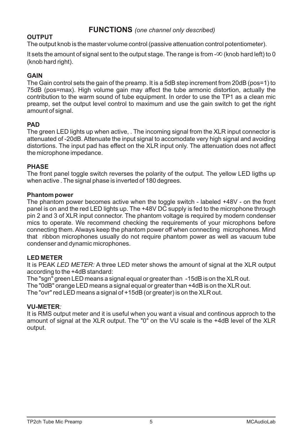## **OUTPUT**

The output knob is the master volume control (passive attenuation control potentiometer).

It sets the amount of signal sent to the output stage. The range is from  $-\infty$  (knob hard left) to 0 (knob hard right).  $\infty$  (knob hard left) to 0

#### **GAIN**

The Gain control sets the gain of the preamp. It is a 5dB step increment from 20dB (pos=1) to 75dB (pos=max). High volume gain may affect the tube armonic distortion, actually the contribution to the warm sound of tube equipment. In order to use the TP1 as a clean mic preamp, set the output level control to maximum and use the gain switch to get the right amount of signal.

#### **PAD**

The green LED lights up when active, . The incoming signal from the XLR input connector is attenuated of -20dB. Attenuate the input signal to accomodate very high signal and avoiding distortions. The input pad has effect on the XLR input only. The attenuation does not affect the microphone impedance.

#### **PHASE**

The front panel toggle switch reverses the polarity of the output. The yellow LED ligths up when active . The signal phase is inverted of 180 degrees.

#### **Phantom power**

The phantom power becomes active when the toggle switch - labeled +48V - on the front panel is on and the red LED lights up. The +48V DC supply is fed to the microphone through pin 2 and 3 of XLR input connector. The phantom voltage is required by modern condenser mics to operate. We recommend checking the requirements of your microphons before connecting them. Always keep the phantom power off when connecting microphones. Mind that ribbon microphones usually do not require phantom power as well as vacuum tube condenser and dynamic microphones.

#### **LED METER**

It is PEAK *LED METER:* A three LED meter shows the amount of signal at the XLR output according to the +4dB standard:

The "sgn" green LED meansa signal equal or greater than -15dB is on the XLR out. The "0dB" orange LED meansa signal equal or greater than +4dB is on the XLR out. The "ovr" red LED meansa signal of +15dB (or greater) is on the XLR out.

#### **VU-METER***:*

It is RMS output meter and it is useful when you want a visual and continous approch to the amount of signal at the XLR output. The "0" on the VU scale is the +4dB level of the XLR output.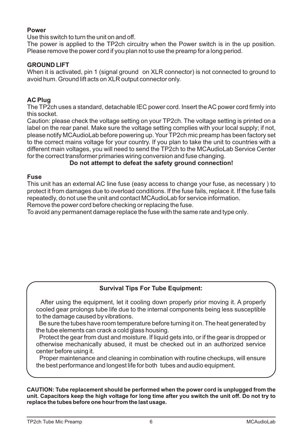#### **Power**

Use this switch to turn the unit on and off.

The power is applied to the TP2ch circuitry when the Power switch is in the up position. Please remove the power cord if you plan not to use the preamp for a long period.

#### **GROUND LIFT**

When it is activated, pin 1 (signal ground on XLR connector) is not connected to ground to avoid hum. Ground lift acts on XLR output connector only.

#### **AC Plug**

The TP2ch uses a standard, detachable IEC power cord. Insert the AC power cord firmly into this socket.

Caution: please check the voltage setting on your TP2ch. The voltage setting is printed on a label on the rear panel. Make sure the voltage setting complies with your local supply; if not, please notify MCAudioLab before powering up. Your TP2ch mic preamphas been factory set to the correct mains voltage for your country. If you plan to take the unit to countries with a different main voltages, you will need to send the TP2ch to the MCAudioLab Service Center for the correct transformer primaries wiring conversion and fuse changing.

#### **Do not attempt to defeat the safety ground connection!**

#### **Fuse**

This unit has an external AC line fuse (easy access to change your fuse, as necessary ) to protect it from damages due to overload conditions. If the fuse fails, replace it. If the fuse fails repeatedly, do not use the unit and contact MCAudioLab for service information.

Remove the power cord before checking or replacing the fuse.

To avoid any permanent damage replace the fuse with the same rate and type only.

#### **Survival Tips For Tube Equipment:**

 After using the equipment, let it cooling down properly prior moving it. A properly cooled gear prolongs tube life due to the internal components being less susceptible to the damage caused by vibrations.

Be sure the tubes have room temperature before turning it on. The heat generated by the tube elements can crack a cold glass housing.

Protect the gear from dust and moisture. If liquid gets into, or if the gear is dropped or otherwise mechanically abused, it must be checked out in an authorized service center before using it.

Proper maintenance and cleaning in combination with routine checkups, will ensure the best performance and longest life for both tubes and audio equipment.

**CAUTION: Tube replacement should be performed when the power cord is unplugged from the unit. Capacitors keep the high voltage for long time after you switch the unit off. Do not try to replace the tubes before one hour from the last usage.**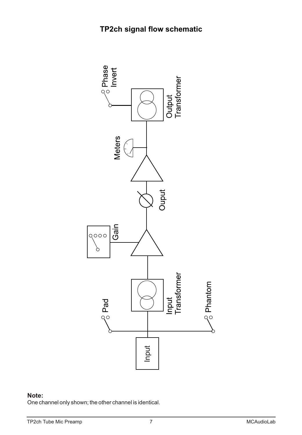

#### **Note:**

One channel only shown; the other channel is identical.